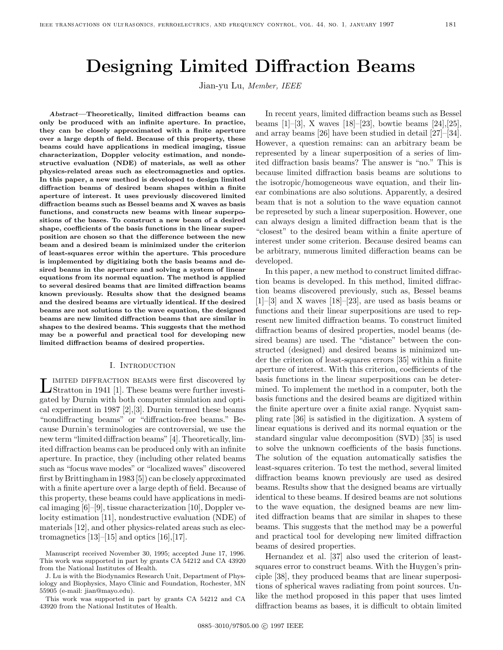# **Designing Limited Diffraction Beams**

Jian-yu Lu, Member, IEEE

*Abstract***—Theoretically, limited diffraction beams can only be produced with an infinite aperture. In practice, they can be closely approximated with a finite aperture over a large depth of field. Because of this property, these beams could have applications in medical imaging, tissue characterization, Doppler velocity estimation, and nondestructive evaluation (NDE) of materials, as well as other physics-related areas such as electromagnetics and optics. In this paper, a new method is developed to design limited diffraction beams of desired beam shapes within a finite aperture of interest. It uses previously discovered limited diffraction beams such as Bessel beams and X waves as basis functions, and constructs new beams with linear superpositions of the bases. To construct a new beam of a desired shape, coefficients of the basis functions in the linear superposition are chosen so that the difference between the new beam and a desired beam is minimized under the criterion of least-squares error within the aperture. This procedure is implemented by digitizing both the basis beams and desired beams in the aperture and solving a system of linear equations from its normal equation. The method is applied to several desired beams that are limited diffraction beams known previously. Results show that the designed beams and the desired beams are virtually identical. If the desired beams are not solutions to the wave equation, the designed beams are new limited diffraction beams that are similar in shapes to the desired beams. This suggests that the method may be a powerful and practical tool for developing new limited diffraction beams of desired properties.**

#### I. Introduction

 $\label{eq:1} \textbf{L}^\text{IMITED DIFFACITION BEAMS}$  were first discovered by Stratton in 1941 [1]. These beams were further investigated by Durnin with both computer simulation and optical experiment in 1987 [2],[3]. Durnin termed these beams "nondiffracting beams" or "diffraction-free beams." Because Durnin's terminologies are controversial, we use the new term "limited diffraction beams" [4]. Theoretically, limited diffraction beams can be produced only with an infinite aperture. In practice, they (including other related beams such as "focus wave modes" or "localized waves" discovered first by Brittingham in 1983 [5]) can be closely approximated with a finite aperture over a large depth of field. Because of this property, these beams could have applications in medical imaging [6]–[9], tissue characterization [10], Doppler velocity estimation [11], nondestructive evaluation (NDE) of materials [12], and other physics-related areas such as electromagnetics  $[13]$ – $[15]$  and optics  $[16]$ , $[17]$ .

J. Lu is with the Biodynamics Research Unit, Department of Physiology and Biophysics, Mayo Clinic and Foundation, Rochester, MN 55905 (e-mail: jian@mayo.edu).

This work was supported in part by grants CA 54212 and CA 43920 from the National Institutes of Health.

In recent years, limited diffraction beams such as Bessel beams [1]–[3], X waves [18]–[23], bowtie beams [24],[25], and array beams [26] have been studied in detail [27]–[34]. However, a question remains: can an arbitrary beam be represented by a linear superposition of a series of limited diffraction basis beams? The answer is "no." This is because limited diffraction basis beams are solutions to the isotropic/homogeneous wave equation, and their linear combinations are also solutions. Apparently, a desired beam that is not a solution to the wave equation cannot be represeted by such a linear superposition. However, one can always design a limited diffraction beam that is the "closest" to the desired beam within a finite aperture of interest under some criterion. Because desired beams can be arbitrary, numerous limited differaction beams can be developed.

In this paper, a new method to construct limited diffraction beams is developed. In this method, limited diffraction beams discovered previously, such as, Bessel beams  $[1]-[3]$  and X waves  $[18]-[23]$ , are used as basis beams or functions and their linear superpositions are used to represent new limited diffraction beams. To construct limited diffraction beams of desired properties, model beams (desired beams) are used. The "distance" between the constructed (designed) and desired beams is minimized under the criterion of least-squares errors [35] within a finite aperture of interest. With this criterion, coefficients of the basis functions in the linear superpositions can be determined. To implement the method in a computer, both the basis functions and the desired beams are digitized within the finite aperture over a finite axial range. Nyquist sampling rate [36] is satisfied in the digitization. A system of linear equations is derived and its normal equation or the standard singular value decomposition (SVD) [35] is used to solve the unknown coefficients of the basis functions. The solution of the equation automatically satisfies the least-squares criterion. To test the method, several limited diffraction beams known previously are used as desired beams. Results show that the designed beams are virtually identical to these beams. If desired beams are not solutions to the wave equation, the designed beams are new limited diffraction beams that are similar in shapes to these beams. This suggests that the method may be a powerful and practical tool for developing new limited diffraction beams of desired properties.

Hernandez et al. [37] also used the criterion of leastsquares error to construct beams. With the Huygen's principle [38], they produced beams that are linear superpositions of spherical waves radiating from point sources. Unlike the method proposed in this paper that uses limted diffraction beams as bases, it is difficult to obtain limited

Manuscript received November 30, 1995; accepted June 17, 1996. This work was supported in part by grants CA 54212 and CA 43920 from the National Institutes of Health.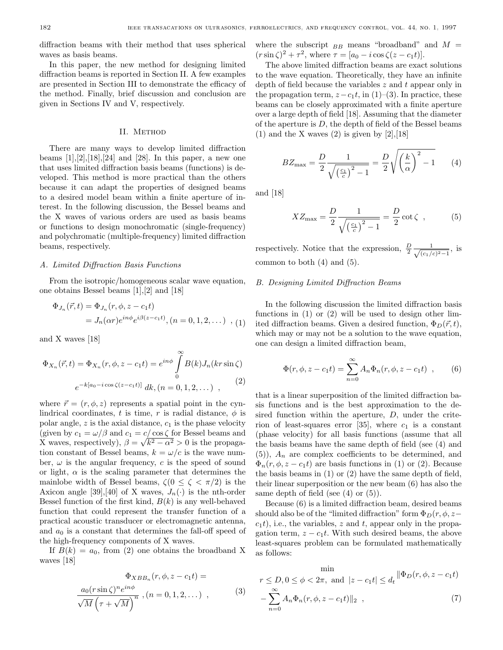diffraction beams with their method that uses spherical waves as basis beams.

In this paper, the new method for designing limited diffraction beams is reported in Section II. A few examples are presented in Section III to demonstrate the efficacy of the method. Finally, brief discussion and conclusion are given in Sections IV and V, respectively.

#### II. METHOD

There are many ways to develop limited diffraction beams  $[1],[2],[18],[24]$  and  $[28]$ . In this paper, a new one that uses limited diffraction basis beams (functions) is developed. This method is more practical than the others because it can adapt the properties of designed beams to a desired model beam within a finite aperture of interest. In the following discussion, the Bessel beams and the X waves of various orders are used as basis beams or functions to design monochromatic (single-frequency) and polychromatic (multiple-frequency) limited diffraction beams, respectively.

## A. Limited Diffraction Basis Functions

From the isotropic/homogeneous scalar wave equation, one obtains Bessel beams [1],[2] and [18]

$$
\Phi_{J_n}(\vec{r}, t) = \Phi_{J_n}(r, \phi, z - c_1 t) \n= J_n(\alpha r) e^{in\phi} e^{i\beta(z - c_1 t)}, (n = 0, 1, 2, ...), (1)
$$

and X waves [18]

$$
\Phi_{X_n}(\vec{r},t) = \Phi_{X_n}(r,\phi,z-c_1t) = e^{in\phi} \int_0^\infty B(k)J_n(kr\sin\zeta)
$$

$$
e^{-k[a_0 - i\cos\zeta(z-c_1t)]} dk, (n = 0,1,2,...) ,
$$
 (2)

where  $\vec{r} = (r, \phi, z)$  represents a spatial point in the cynlindrical coordinates, t is time, r is radial distance,  $\phi$  is polar angle,  $z$  is the axial distance,  $c_1$  is the phase velocity (given by  $c_1 = \omega/\beta$  and  $c_1 = c/\cos \zeta$  for Bessel beams and X waves, respectively),  $\beta = \sqrt{k^2 - \alpha^2} > 0$  is the propagation constant of Bessel beams,  $k = \omega/c$  is the wave number,  $\omega$  is the angular frequency, c is the speed of sound or light,  $\alpha$  is the scaling parameter that determines the mainlobe width of Bessel beams,  $\zeta(0 \leq \zeta \leq \pi/2)$  is the Axicon angle [39],[40] of X waves,  $J_n(\cdot)$  is the nth-order Bessel function of the first kind,  $B(k)$  is any well-behaved function that could represent the transfer function of a practical acoustic transducer or electromagnetic antenna, and  $a_0$  is a constant that determines the fall-off speed of the high-frequency components of X waves.

If  $B(k) = a_0$ , from (2) one obtains the broadband X waves [18]

$$
\Phi_{XBB_n}(r, \phi, z - c_1 t) =
$$

$$
\frac{a_0(r\sin\zeta)^n e^{in\phi}}{\sqrt{M}\left(\tau + \sqrt{M}\right)^n}, (n = 0, 1, 2, ...),
$$
 (3)

where the subscript  $_{BB}$  means "broadband" and  $M =$  $(r \sin \zeta)^2 + \tau^2$ , where  $\tau = [a_0 - i \cos \zeta(z - c_1 t)].$ 

The above limited diffraction beams are exact solutions to the wave equation. Theoretically, they have an infinite depth of field because the variables  $z$  and  $t$  appear only in the propagation term,  $z - c_1t$ , in (1)–(3). In practice, these beams can be closely approximated with a finite aperture over a large depth of field [18]. Assuming that the diameter of the aperture is  $D$ , the depth of field of the Bessel beams  $(1)$  and the X waves  $(2)$  is given by  $[2]$ ,  $[18]$ 

$$
BZ_{\text{max}} = \frac{D}{2} \frac{1}{\sqrt{\left(\frac{c_1}{c}\right)^2 - 1}} = \frac{D}{2} \sqrt{\left(\frac{k}{\alpha}\right)^2 - 1} \tag{4}
$$

and [18]

$$
XZ_{\text{max}} = \frac{D}{2} \frac{1}{\sqrt{\left(\frac{c_1}{c}\right)^2 - 1}} = \frac{D}{2} \cot \zeta , \qquad (5)
$$

respectively. Notice that the expression,  $\frac{D}{2} \frac{1}{\sqrt{(c_1/\mu)}}$  $\frac{1}{(c_1/c)^2-1}$ , is common to both (4) and (5).

## B. Designing Limited Diffraction Beams

In the following discussion the limited diffraction basis functions in (1) or (2) will be used to design other limited diffraction beams. Given a desired function,  $\Phi_D(\vec{r}, t)$ , which may or may not be a solution to the wave equation, one can design a limited diffraction beam,

$$
\Phi(r, \phi, z - c_1 t) = \sum_{n=0}^{\infty} A_n \Phi_n(r, \phi, z - c_1 t) , \qquad (6)
$$

that is a linear superposition of the limited diffraction basis functions and is the best approximation to the desired function within the aperture,  $D$ , under the criterion of least-squares error [35], where  $c_1$  is a constant (phase velocity) for all basis functions (assume that all the basis beams have the same depth of field (see (4) and  $(5)$ ,  $A_n$  are complex coefficients to be determined, and  $\Phi_n(r, \phi, z - c_1 t)$  are basis functions in (1) or (2). Because the basis beams in (1) or (2) have the same depth of field, their linear superposition or the new beam (6) has also the same depth of field (see  $(4)$  or  $(5)$ ).

Because (6) is a limited diffraction beam, desired beams should also be of the "limited diffraction" form  $\Phi_D(r, \phi, z-\phi)$  $c_1t$ , i.e., the variables, z and t, appear only in the propagation term,  $z - c_1t$ . With such desired beams, the above least-squares problem can be formulated mathematically as follows:

$$
\min_{r \leq D, 0 \leq \phi < 2\pi, \text{ and } |z - c_1 t| \leq d_t} \|\Phi_D(r, \phi, z - c_1 t)\|_2
$$
\n
$$
-\sum_{n=0}^{\infty} A_n \Phi_n(r, \phi, z - c_1 t)\|_2 \tag{7}
$$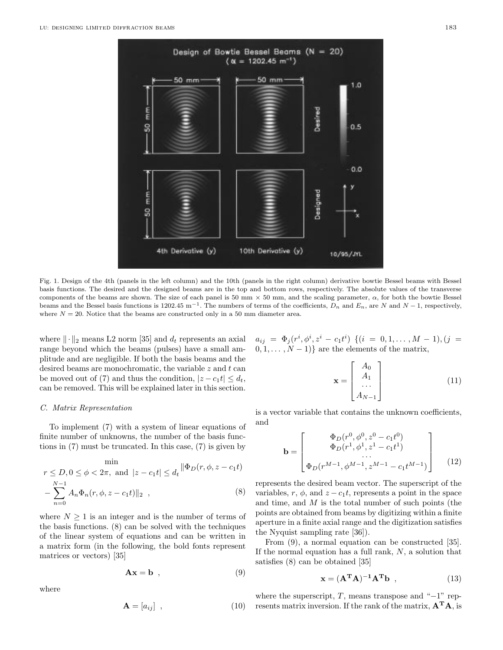

Fig. 1. Design of the 4th (panels in the left column) and the 10th (panels in the right column) derivative bowtie Bessel beams with Bessel basis functions. The desired and the designed beams are in the top and bottom rows, respectively. The absolute values of the transverse components of the beams are shown. The size of each panel is 50 mm  $\times$  50 mm, and the scaling parameter,  $\alpha$ , for both the bowtie Bessel beams and the Bessel basis functions is 1202.45 m<sup>-1</sup>. The numbers of terms of the coefficients,  $D_n$  and  $E_n$ , are N and  $N-1$ , respectively, where  $N = 20$ . Notice that the beams are constructed only in a 50 mm diameter area.

where  $\|\cdot\|_2$  means L2 norm [35] and  $d_t$  represents an axial range beyond which the beams (pulses) have a small amplitude and are negligible. If both the basis beams and the desired beams are monochromatic, the variable  $z$  and  $t$  can be moved out of (7) and thus the condition,  $|z - c_1 t| \le d_t$ , can be removed. This will be explained later in this section.

## C. Matrix Representation

To implement (7) with a system of linear equations of finite number of unknowns, the number of the basis functions in (7) must be truncated. In this case, (7) is given by

$$
\min_{r \leq D, 0 \leq \phi < 2\pi, \text{ and } |z - c_1 t| \leq d_t} \|\Phi_D(r, \phi, z - c_1 t)\|_2 - \sum_{n=0}^{N-1} A_n \Phi_n(r, \phi, z - c_1 t)\|_2 \tag{8}
$$

where  $N \geq 1$  is an integer and is the number of terms of the basis functions. (8) can be solved with the techniques of the linear system of equations and can be written in a matrix form (in the following, the bold fonts represent matrices or vectors) [35]

$$
\mathbf{A}\mathbf{x} = \mathbf{b} \quad , \tag{9}
$$

where

$$
\mathbf{A} = [a_{ij}] \quad , \tag{10}
$$

 $a_{ij} = \Phi_j(r^i, \phi^i, z^i - c_1t^i)$  {(i = 0, 1, ..., M - 1), (j =  $(0, 1, \ldots, N-1)$  are the elements of the matrix,

$$
\mathbf{x} = \begin{bmatrix} A_0 \\ A_1 \\ \cdots \\ A_{N-1} \end{bmatrix}
$$
 (11)

is a vector variable that contains the unknown coefficients, and

$$
\mathbf{b} = \begin{bmatrix} \Phi_D(r^0, \phi^0, z^0 - c_1 t^0) \\ \Phi_D(r^1, \phi^1, z^1 - c_1 t^1) \\ \cdots \\ \Phi_D(r^{M-1}, \phi^{M-1}, z^{M-1} - c_1 t^{M-1}) \end{bmatrix}
$$
(12)

represents the desired beam vector. The superscript of the variables, r,  $\phi$ , and  $z - c_1t$ , represents a point in the space and time, and M is the total number of such points (the points are obtained from beams by digitizing within a finite aperture in a finite axial range and the digitization satisfies the Nyquist sampling rate [36]).

From (9), a normal equation can be constructed [35]. If the normal equation has a full rank,  $N$ , a solution that satisfies (8) can be obtained [35]

$$
\mathbf{x} = (\mathbf{A}^{\mathrm{T}} \mathbf{A})^{-1} \mathbf{A}^{\mathrm{T}} \mathbf{b} \tag{13}
$$

where the superscript,  $T$ , means transpose and "−1" represents matrix inversion. If the rank of the matrix, **A<sup>T</sup>A**, is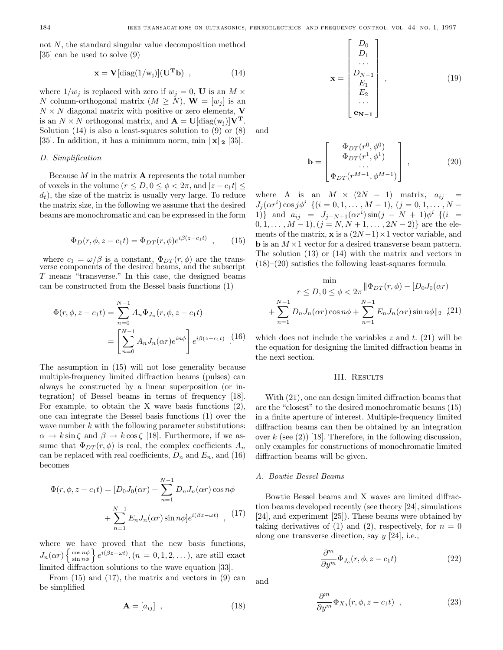not N, the standard singular value decomposition method [35] can be used to solve (9)

$$
\mathbf{x} = \mathbf{V}[\text{diag}(1/\text{w}_j)](\mathbf{U}^{\mathbf{T}}\mathbf{b}) , \qquad (14)
$$

where  $1/w_i$  is replaced with zero if  $w_i = 0$ , **U** is an  $M \times$ N column-orthogonal matrix  $(M > N)$ ,  $W = [w_i]$  is an  $N \times N$  diagonal matrix with positive or zero elements, **V** is an  $N \times N$  orthogonal matrix, and  $\mathbf{A} = \mathbf{U}[\text{diag}(w_i)|\mathbf{V}^T]$ . Solution  $(14)$  is also a least-squares solution to  $(9)$  or  $(8)$ [35]. In addition, it has a minimum norm, min  $\|\mathbf{x}\|_2$  [35].

## D. Simplification

Because  $M$  in the matrix  $A$  represents the total number of voxels in the volume  $(r \leq D, 0 \leq \phi < 2\pi,$  and  $|z - c_1 t| \leq$  $d_t$ ), the size of the matrix is usually very large. To reduce the matrix size, in the following we assume that the desired beams are monochromatic and can be expressed in the form

$$
\Phi_D(r, \phi, z - c_1 t) = \Phi_{DT}(r, \phi)e^{i\beta(z - c_1 t)}, \qquad (15)
$$

where  $c_1 = \omega/\beta$  is a constant,  $\Phi_{DT}(r, \phi)$  are the trans-<br>verse components of the desired beams, and the subscript T means "transverse." In this case, the designed beams can be constructed from the Bessel basis functions (1)

$$
\Phi(r,\phi,z-c_1t) = \sum_{n=0}^{N-1} A_n \Phi_{J_n}(r,\phi,z-c_1t)
$$

$$
= \left[ \sum_{n=0}^{N-1} A_n J_n(\alpha r) e^{in\phi} \right] e^{i\beta(z-c_1t)} \quad (16)
$$

The assumption in (15) will not lose generality because multiple-frequency limited diffraction beams (pulses) can always be constructed by a linear superposition (or integration) of Bessel beams in terms of frequency [18]. For example, to obtain the X wave basis functions  $(2)$ , one can integrate the Bessel basis functions (1) over the wave number  $k$  with the following parameter substitutions:  $\alpha \to k \sin \zeta$  and  $\beta \to k \cos \zeta$  [18]. Furthermore, if we assume that  $\Phi_{DT}(r,\phi)$  is real, the complex coefficients  $A_n$ can be replaced with real coefficients,  $D_n$  and  $E_n$ , and (16) becomes

$$
\Phi(r, \phi, z - c_1 t) = [D_0 J_0(\alpha r) + \sum_{n=1}^{N-1} D_n J_n(\alpha r) \cos n\phi + \sum_{n=1}^{N-1} E_n J_n(\alpha r) \sin n\phi] e^{i(\beta z - \omega t)}, \quad (17)
$$

where we have proved that the new basis functions,  $J_n(\alpha r) \begin{cases} \cos n\phi \\ \sin n\phi \end{cases} e^{i(\beta z - \omega t)}, (n = 0, 1, 2, \ldots),$  are still exact limited diffraction solutions to the wave equation [33].

From  $(15)$  and  $(17)$ , the matrix and vectors in  $(9)$  can be simplified

$$
\mathbf{A} = [a_{ij}] \quad , \tag{18}
$$

$$
\mathbf{x} = \begin{bmatrix} D_0 \\ D_1 \\ \cdots \\ D_{N-1} \\ E_1 \\ E_2 \\ \cdots \\ e_{N-1} \end{bmatrix},
$$
(19)

and

$$
\mathbf{b} = \begin{bmatrix} \Phi_{DT}(r^0, \phi^0) \\ \Phi_{DT}(r^1, \phi^1) \\ \cdots \\ \Phi_{DT}(r^{M-1}, \phi^{M-1}) \end{bmatrix}, \qquad (20)
$$

where A is an  $M \times (2N - 1)$  matrix,  $a_{ij} =$  $J_j(\alpha r^i) \cos j\phi^i$  { $(i = 0, 1, ..., M - 1), (j = 0, 1, ..., N - 1)$ } 1)} and  $a_{ij} = J_{j-N+1}(\alpha r^i) \sin(j - N + 1) \phi^i$  {(i =  $0, 1, \ldots, M-1$ ,  $(j = N, N+1, \ldots, 2N-2)$  are the elements of the matrix, **x** is a  $(2N-1) \times 1$  vector variable, and **b** is an  $M \times 1$  vector for a desired transverse beam pattern. The solution (13) or (14) with the matrix and vectors in  $(18)$ – $(20)$  satisfies the following least-squares formula

$$
\min_{r \leq D, 0 \leq \phi < 2\pi} \|\Phi_{DT}(r, \phi) - [D_0 J_0(\alpha r)] + \sum_{n=1}^{N-1} D_n J_n(\alpha r) \cos n\phi + \sum_{n=1}^{N-1} E_n J_n(\alpha r) \sin n\phi \|_2 \tag{21}
$$

which does not include the variables  $z$  and  $t$ . (21) will be the equation for designing the limited diffraction beams in the next section.

#### III. RESULTS

With (21), one can design limited diffraction beams that are the "closest" to the desired monochromatic beams (15) in a finite aperture of interest. Multiple-frequency limited diffraction beams can then be obtained by an integration over  $k$  (see (2)) [18]. Therefore, in the following discussion, only examples for constructions of monochromatic limited diffraction beams will be given.

## A. Bowtie Bessel Beams

Bowtie Bessel beams and X waves are limited diffraction beams developed recently (see theory [24], simulations [24], and experiment [25]). These beams were obtained by taking derivatives of (1) and (2), respectively, for  $n = 0$ along one transverse direction, say  $y$  [24], i.e.,

$$
\frac{\partial^m}{\partial y^m} \Phi_{J_o}(r, \phi, z - c_1 t) \tag{22}
$$

and

$$
\frac{\partial^m}{\partial y^m} \Phi_{X_0}(r, \phi, z - c_1 t) , \qquad (23)
$$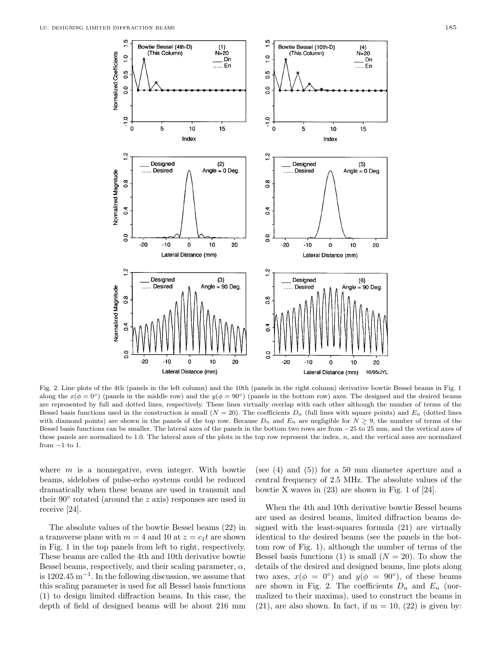Normalized Coefficients

 $\frac{1}{2}$ 

 $0.5$ 

 $\overline{0}$ 

 $\frac{1}{2}$ 

 $\mathbf{o}$ 

Bowtie Bessel (4th-D)

(This Column)

5

10

Index

 $(1)$ <br>N=20

..... En

15

 $\overline{D}n$ 





Fig. 2. Line plots of the 4th (panels in the left column) and the 10th (panels in the right column) derivative bowtie Bessel beams in Fig. 1 along the  $x(\phi = 0^{\circ})$  (panels in the middle row) and the  $y(\phi = 90^{\circ})$  (panels in the bottom row) axes. The designed and the desired beams are represented by full and dotted lines, respectively. These lines virtually overlap with each other although the number of terms of the Bessel basis functions used in the construction is small  $(N = 20)$ . The coefficients  $D_n$  (full lines with square points) and  $E_n$  (dotted lines with diamond points) are shown in the panels of the top row. Because  $D_n$  and  $E_n$  are negligible for  $N \geq 9$ , the number of terms of the Bessel basis functions can be smaller. The lateral axes of the panels in the bottom two rows are from −25 to 25 mm, and the vertical axes of these panels are normalized to 1.0. The lateral axes of the plots in the top row represent the index,  $n$ , and the vertical axes are normalized from  $-1$  to 1.

where  $m$  is a nonnegative, even integer. With bowtie beams, sidelobes of pulse-echo systems could be reduced dramatically when these beams are used in transmit and their  $90°$  rotated (around the z axis) responses are used in receive [24].

The absolute values of the bowtie Bessel beams (22) in a transverse plane with  $m = 4$  and 10 at  $z = c_1 t$  are shown in Fig. 1 in the top panels from left to right, respectively. These beams are called the 4th and 10th derivative bowtie Bessel beams, respectively, and their scaling parameter,  $\alpha$ , is 1202.45 m<sup> $-1$ </sup>. In the following discussion, we assume that this scaling parameter is used for all Bessel basis functions (1) to design limited diffraction beams. In this case, the depth of field of designed beams will be about 216 mm

(see (4) and (5)) for a 50 mm diameter aperture and a central frequency of 2.5 MHz. The absolute values of the bowtie X waves in (23) are shown in Fig. 1 of [24].

When the 4th and 10th derivative bowtie Bessel beams are used as desired beams, limited diffraction beams designed with the least-squares formula (21) are virtually identical to the desired beams (see the panels in the bottom row of Fig. 1), although the number of terms of the Bessel basis functions (1) is small  $(N = 20)$ . To show the details of the desired and designed beams, line plots along two axes,  $x(\phi = 0^{\circ})$  and  $y(\phi = 90^{\circ})$ , of these beams are shown in Fig. 2. The coefficients  $D_n$  and  $E_n$  (normalized to their maxima), used to construct the beams in  $(21)$ , are also shown. In fact, if  $m = 10$ ,  $(22)$  is given by: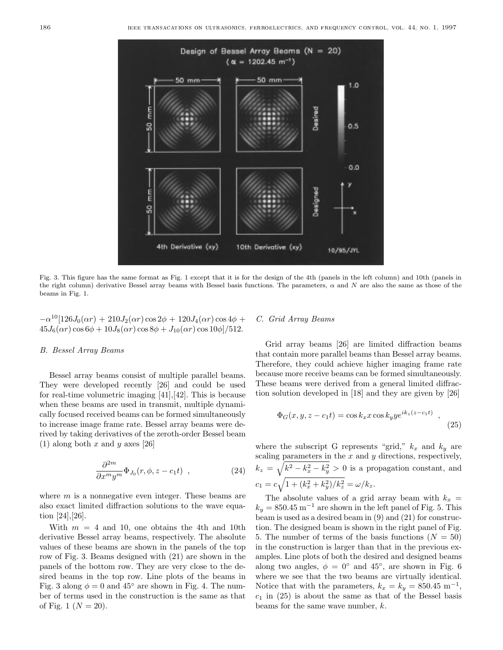

Fig. 3. This figure has the same format as Fig. 1 except that it is for the design of the 4th (panels in the left column) and 10th (panels in the right column) derivative Bessel array beams with Bessel basis functions. The parameters,  $\alpha$  and N are also the same as those of the beams in Fig. 1.

$$
-\alpha^{10}[126J_0(\alpha r) + 210J_2(\alpha r)\cos 2\phi + 120J_4(\alpha r)\cos 4\phi + 45J_6(\alpha r)\cos 6\phi + 10J_8(\alpha r)\cos 8\phi + J_{10}(\alpha r)\cos 10\phi]/512.
$$

## B. Bessel Array Beams

Bessel array beams consist of multiple parallel beams. They were developed recently [26] and could be used for real-time volumetric imaging [41],[42]. This is because when these beams are used in transmit, multiple dynamically focused received beams can be formed simultaneously to increase image frame rate. Bessel array beams were derived by taking derivatives of the zeroth-order Bessel beam (1) along both x and y axes [26]

$$
\frac{\partial^{2m}}{\partial x^m y^m} \Phi_{J_0}(r, \phi, z - c_1 t) , \qquad (24)
$$

where  $m$  is a nonnegative even integer. These beams are also exact limited diffraction solutions to the wave equation [24],[26].

With  $m = 4$  and 10, one obtains the 4th and 10th derivative Bessel array beams, respectively. The absolute values of these beams are shown in the panels of the top row of Fig. 3. Beams designed with (21) are shown in the panels of the bottom row. They are very close to the desired beams in the top row. Line plots of the beams in Fig. 3 along  $\phi = 0$  and 45° are shown in Fig. 4. The number of terms used in the construction is the same as that of Fig. 1 ( $N = 20$ ).

## C. Grid Array Beams

Grid array beams [26] are limited diffraction beams that contain more parallel beams than Bessel array beams. Therefore, they could achieve higher imaging frame rate because more receive beams can be formed simultaneously. These beams were derived from a general limited diffraction solution developed in [18] and they are given by [26]

$$
\Phi_G(x, y, z - c_1 t) = \cos k_x x \cos k_y y e^{ik_z (z - c_1 t)}, \qquad (25)
$$

where the subscript G represents "grid,"  $k_x$  and  $k_y$  are scaling parameters in the  $x$  and  $y$  directions, respectively,  $k_z = \sqrt{k^2 - k_x^2 - k_y^2} > 0$  is a propagation constant, and  $c_1 = c \sqrt{1 + (k_x^2 + k_y^2)/k_z^2} = \omega/k_z.$ 

The absolute values of a grid array beam with  $k_x =$  $k_y = 850.45 \text{ m}^{-1}$  are shown in the left panel of Fig. 5. This beam is used as a desired beam in (9) and (21) for construction. The designed beam is shown in the right panel of Fig. 5. The number of terms of the basis functions  $(N = 50)$ in the construction is larger than that in the previous examples. Line plots of both the desired and designed beams along two angles,  $\phi = 0^{\circ}$  and 45°, are shown in Fig. 6 where we see that the two beams are virtually identical. Notice that with the parameters,  $k_x = k_y = 850.45 \text{ m}^{-1}$ ,  $c_1$  in (25) is about the same as that of the Bessel basis beams for the same wave number, k.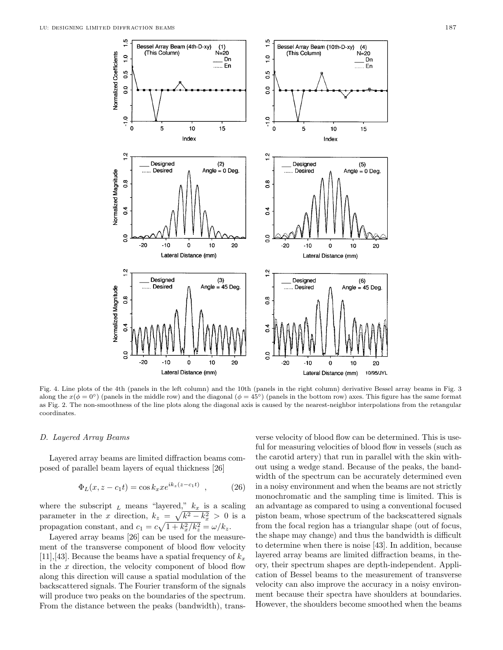![](_page_6_Figure_1.jpeg)

Fig. 4. Line plots of the 4th (panels in the left column) and the 10th (panels in the right column) derivative Bessel array beams in Fig. 3 along the  $x(\phi = 0^{\circ})$  (panels in the middle row) and the diagonal  $(\phi = 45^{\circ})$  (panels in the bottom row) axes. This figure has the same format as Fig. 2. The non-smoothness of the line plots along the diagonal axis is caused by the nearest-neighbor interpolations from the retangular coordinates.

#### D. Layered Array Beams

Layered array beams are limited diffraction beams composed of parallel beam layers of equal thickness [26]

$$
\Phi_L(x, z - c_1 t) = \cos k_x x e^{ik_z (z - c_1 t)}, \qquad (26)
$$

where the subscript  $_L$  means "layered,"  $k_x$  is a scaling parameter in the x direction,  $k_z = \sqrt{k^2 - k_x^2} > 0$  is a propagation constant, and  $c_1 = c\sqrt{1 + k_x^2/k_z^2} = \omega/k_z$ .

Layered array beams [26] can be used for the measurement of the transverse component of blood flow velocity [11], [43]. Because the beams have a spatial frequency of  $k_x$ in the  $x$  direction, the velocity component of blood flow along this direction will cause a spatial modulation of the backscattered signals. The Fourier transform of the signals will produce two peaks on the boundaries of the spectrum. From the distance between the peaks (bandwidth), trans-

verse velocity of blood flow can be determined. This is useful for measuring velocities of blood flow in vessels (such as the carotid artery) that run in parallel with the skin without using a wedge stand. Because of the peaks, the bandwidth of the spectrum can be accurately determined even in a noisy environment and when the beams are not strictly monochromatic and the sampling time is limited. This is an advantage as compared to using a conventional focused piston beam, whose spectrum of the backscattered signals from the focal region has a triangular shape (out of focus, the shape may change) and thus the bandwidth is difficult to determine when there is noise [43]. In addition, because layered array beams are limited diffraction beams, in theory, their spectrum shapes are depth-independent. Application of Bessel beams to the measurement of transverse velocity can also improve the accuracy in a noisy environment because their spectra have shoulders at boundaries. However, the shoulders become smoothed when the beams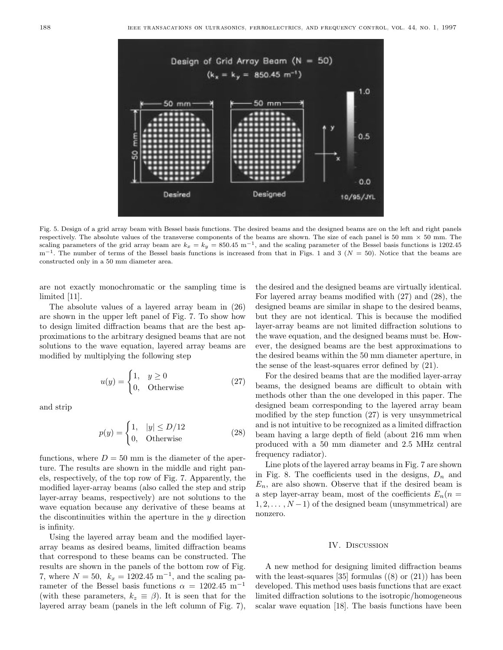![](_page_7_Figure_2.jpeg)

Fig. 5. Design of a grid array beam with Bessel basis functions. The desired beams and the designed beams are on the left and right panels respectively. The absolute values of the transverse components of the beams are shown. The size of each panel is 50 mm  $\times$  50 mm. The scaling parameters of the grid array beam are  $k_x = k_y = 850.45 \text{ m}^{-1}$ , and the scaling parameter of the Bessel basis functions is 1202.45  $m^{-1}$ . The number of terms of the Bessel basis functions is increased from that in Figs. 1 and 3 ( $N = 50$ ). Notice that the beams are constructed only in a 50 mm diameter area.

are not exactly monochromatic or the sampling time is limited [11].

The absolute values of a layered array beam in (26) are shown in the upper left panel of Fig. 7. To show how to design limited diffraction beams that are the best approximations to the arbitrary designed beams that are not solutions to the wave equation, layered array beams are modified by multiplying the following step

$$
u(y) = \begin{cases} 1, & y \ge 0 \\ 0, & \text{Otherwise} \end{cases}
$$
 (27)

and strip

$$
p(y) = \begin{cases} 1, & |y| \le D/12 \\ 0, & \text{Otherwise} \end{cases}
$$
 (28)

functions, where  $D = 50$  mm is the diameter of the aperture. The results are shown in the middle and right panels, respectively, of the top row of Fig. 7. Apparently, the modified layer-array beams (also called the step and strip layer-array beams, respectively) are not solutions to the wave equation because any derivative of these beams at the discontinuities within the aperture in the  $y$  direction is infinity.

Using the layered array beam and the modified layerarray beams as desired beams, limited diffraction beams that correspond to these beams can be constructed. The results are shown in the panels of the bottom row of Fig. 7, where  $N = 50$ ,  $k_x = 1202.45 \text{ m}^{-1}$ , and the scaling parameter of the Bessel basis functions  $\alpha = 1202.45 \text{ m}^{-1}$ (with these parameters,  $k_z \equiv \beta$ ). It is seen that for the layered array beam (panels in the left column of Fig. 7),

the desired and the designed beams are virtually identical. For layered array beams modified with (27) and (28), the designed beams are similar in shape to the desired beams, but they are not identical. This is because the modified layer-array beams are not limited diffraction solutions to the wave equation, and the designed beams must be. However, the designed beams are the best approximations to the desired beams within the 50 mm diameter aperture, in the sense of the least-squares error defined by (21).

For the desired beams that are the modified layer-array beams, the designed beams are difficult to obtain with methods other than the one developed in this paper. The designed beam corresponding to the layered array beam modified by the step function (27) is very unsymmetrical and is not intuitive to be recognized as a limited diffraction beam having a large depth of field (about 216 mm when produced with a 50 mm diameter and 2.5 MHz central frequency radiator).

Line plots of the layered array beams in Fig. 7 are shown in Fig. 8. The coefficients used in the designs,  $D_n$  and  $E_n$ , are also shown. Observe that if the desired beam is a step layer-array beam, most of the coefficients  $E_n(n =$  $1, 2, \ldots, N-1$ ) of the designed beam (unsymmetrical) are nonzero.

#### IV. Discussion

A new method for designing limited diffraction beams with the least-squares [35] formulas  $(8)$  or  $(21)$ ) has been developed. This method uses basis functions that are exact limited diffraction solutions to the isotropic/homogeneous scalar wave equation [18]. The basis functions have been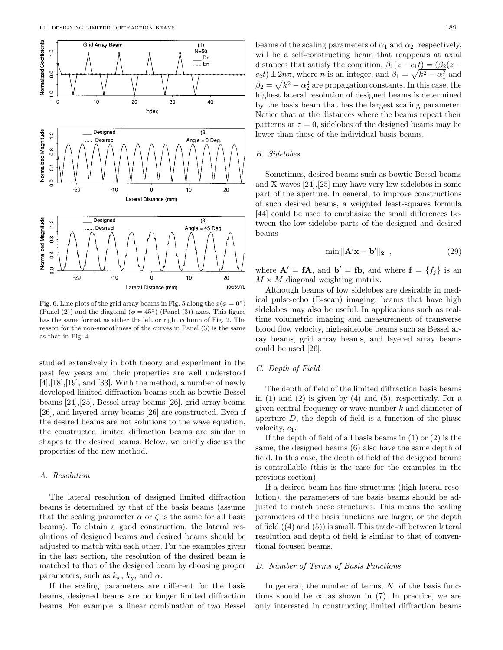![](_page_8_Figure_1.jpeg)

Fig. 6. Line plots of the grid array beams in Fig. 5 along the  $x(\phi = 0^{\circ})$ (Panel (2)) and the diagonal ( $\phi = 45^{\circ}$ ) (Panel (3)) axes. This figure has the same format as either the left or right column of Fig. 2. The reason for the non-smoothness of the curves in Panel (3) is the same as that in Fig. 4.

studied extensively in both theory and experiment in the past few years and their properties are well understood  $[4]$ ,  $[18]$ ,  $[19]$ , and  $[33]$ . With the method, a number of newly developed limited diffraction beams such as bowtie Bessel beams [24],[25], Bessel array beams [26], grid array beams [26], and layered array beams [26] are constructed. Even if the desired beams are not solutions to the wave equation, the constructed limited diffraction beams are similar in shapes to the desired beams. Below, we briefly discuss the properties of the new method.

#### A. Resolution

The lateral resolution of designed limited diffraction beams is determined by that of the basis beams (assume that the scaling parameter  $\alpha$  or  $\zeta$  is the same for all basis beams). To obtain a good construction, the lateral resolutions of designed beams and desired beams should be adjusted to match with each other. For the examples given in the last section, the resolution of the desired beam is matched to that of the designed beam by choosing proper parameters, such as  $k_x$ ,  $k_y$ , and  $\alpha$ .

If the scaling parameters are different for the basis beams, designed beams are no longer limited diffraction beams. For example, a linear combination of two Bessel

beams of the scaling parameters of  $\alpha_1$  and  $\alpha_2$ , respectively, will be a self-constructing beam that reappears at axial distances that satisfy the condition,  $\beta_1(z-c_1t)=(\beta_2(z-\alpha_1t))$  $c_2 t$ )  $\pm 2n\pi$ , where *n* is an integer, and  $\beta_1 = \sqrt{k^2 - \alpha_1^2}$  and  $\beta_2 = \sqrt{k^2 - \alpha_2^2}$  are propagation constants. In this case, the highest lateral resolution of designed beams is determined by the basis beam that has the largest scaling parameter. Notice that at the distances where the beams repeat their patterns at  $z = 0$ , sidelobes of the designed beams may be lower than those of the individual basis beams.

## B. Sidelobes

Sometimes, desired beams such as bowtie Bessel beams and X waves [24],[25] may have very low sidelobes in some part of the aperture. In general, to improve constructions of such desired beams, a weighted least-squares formula [44] could be used to emphasize the small differences between the low-sidelobe parts of the designed and desired beams

$$
\min \| \mathbf{A}' \mathbf{x} - \mathbf{b}' \|_2 \quad , \tag{29}
$$

where  $\mathbf{A}' = \mathbf{f}\mathbf{A}$ , and  $\mathbf{b}' = \mathbf{f}\mathbf{b}$ , and where  $\mathbf{f} = \{f_i\}$  is an  $M \times M$  diagonal weighting matrix.

Although beams of low sidelobes are desirable in medical pulse-echo (B-scan) imaging, beams that have high sidelobes may also be useful. In applications such as realtime volumetric imaging and measurement of transverse blood flow velocity, high-sidelobe beams such as Bessel array beams, grid array beams, and layered array beams could be used [26].

# C. Depth of Field

The depth of field of the limited diffraction basis beams in  $(1)$  and  $(2)$  is given by  $(4)$  and  $(5)$ , respectively. For a given central frequency or wave number k and diameter of aperture  $D$ , the depth of field is a function of the phase velocity,  $c_1$ .

If the depth of field of all basis beams in (1) or (2) is the same, the designed beams (6) also have the same depth of field. In this case, the depth of field of the designed beams is controllable (this is the case for the examples in the previous section).

If a desired beam has fine structures (high lateral resolution), the parameters of the basis beams should be adjusted to match these structures. This means the scaling parameters of the basis functions are larger, or the depth of field ((4) and (5)) is small. This trade-off between lateral resolution and depth of field is similar to that of conventional focused beams.

## D. Number of Terms of Basis Functions

In general, the number of terms,  $N$ , of the basis functions should be  $\infty$  as shown in (7). In practice, we are only interested in constructing limited diffraction beams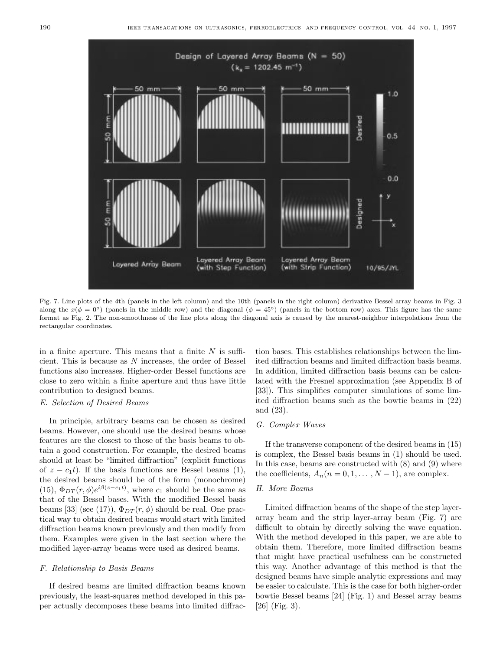![](_page_9_Figure_1.jpeg)

Fig. 7. Line plots of the 4th (panels in the left column) and the 10th (panels in the right column) derivative Bessel array beams in Fig. 3 along the  $x(\phi = 0^{\circ})$  (panels in the middle row) and the diagonal  $(\phi = 45^{\circ})$  (panels in the bottom row) axes. This figure has the same format as Fig. 2. The non-smoothness of the line plots along the diagonal axis is caused by the nearest-neighbor interpolations from the rectangular coordinates.

in a finite aperture. This means that a finite  $N$  is sufficient. This is because as N increases, the order of Bessel functions also increases. Higher-order Bessel functions are close to zero within a finite aperture and thus have little contribution to designed beams.

## E. Selection of Desired Beams

In principle, arbitrary beams can be chosen as desired beams. However, one should use the desired beams whose features are the closest to those of the basis beams to obtain a good construction. For example, the desired beams should at least be "limited diffraction" (explicit functions of  $z - c_1t$ ). If the basis functions are Bessel beams (1), the desired beams should be of the form (monochrome) (15),  $\Phi_{DT}(r,\phi)e^{i\beta(z-c_1t)}$ , where  $c_1$  should be the same as that of the Bessel bases. With the modified Bessel basis beams [33] (see (17)),  $\Phi_{DT}(r,\phi)$  should be real. One practical way to obtain desired beams would start with limited diffraction beams known previously and then modify from them. Examples were given in the last section where the modified layer-array beams were used as desired beams.

## F. Relationship to Basis Beams

If desired beams are limited diffraction beams known previously, the least-squares method developed in this paper actually decomposes these beams into limited diffrac-

tion bases. This establishes relationships between the limited diffraction beams and limited diffraction basis beams. In addition, limited diffraction basis beams can be calculated with the Fresnel approximation (see Appendix B of [33]). This simplifies computer simulations of some limited diffraction beams such as the bowtie beams in (22) and (23).

## G. Complex Waves

If the transverse component of the desired beams in (15) is complex, the Bessel basis beams in (1) should be used. In this case, beams are constructed with (8) and (9) where the coefficients,  $A_n(n = 0, 1, \ldots, N-1)$ , are complex.

# H. More Beams

Limited diffraction beams of the shape of the step layerarray beam and the strip layer-array beam (Fig. 7) are difficult to obtain by directly solving the wave equation. With the method developed in this paper, we are able to obtain them. Therefore, more limited diffraction beams that might have practical usefulness can be constructed this way. Another advantage of this method is that the designed beams have simple analytic expressions and may be easier to calculate. This is the case for both higher-order bowtie Bessel beams [24] (Fig. 1) and Bessel array beams  $[26]$  (Fig. 3).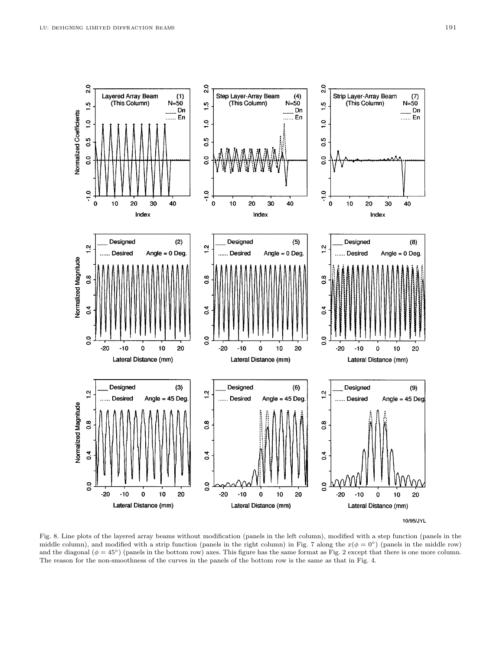![](_page_10_Figure_2.jpeg)

Fig. 8. Line plots of the layered array beams without modification (panels in the left column), modified with a step function (panels in the middle column), and modified with a strip function (panels in the right column) in Fig. 7 along the  $x(\phi = 0^{\circ})$  (panels in the middle row) and the diagonal ( $\phi = 45°$ ) (panels in the bottom row) axes. This figure has the same format as Fig. 2 except that there is one more column. The reason for the non-smoothness of the curves in the panels of the bottom row is the same as that in Fig. 4.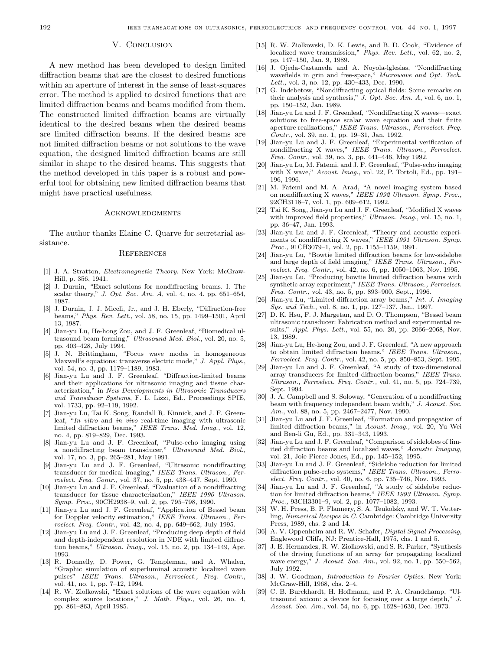#### V. CONCLUSION

A new method has been developed to design limited diffraction beams that are the closest to desired functions within an aperture of interest in the sense of least-squares error. The method is applied to desired functions that are limited diffraction beams and beams modified from them. The constructed limited diffraction beams are virtually identical to the desired beams when the desired beams are limited diffraction beams. If the desired beams are not limited diffraction beams or not solutions to the wave equation, the designed limited diffraction beams are still similar in shape to the desired beams. This suggests that the method developed in this paper is a robust and powerful tool for obtaining new limited diffraction beams that might have practical usefulness.

## **ACKNOWLEDGMENTS**

The author thanks Elaine C. Quarve for secretarial assistance.

#### **REFERENCES**

- [1] J. A. Stratton, Electromagnetic Theory. New York: McGraw-Hill, p. 356, 1941.
- [2] J. Durnin, "Exact solutions for nondiffracting beams. I. The scalar theory," J. Opt. Soc. Am. A, vol. 4, no. 4, pp.  $651-654$ , 1987.
- [3] J. Durnin, J. J. Miceli, Jr., and J. H. Eberly, "Diffraction-free beams," Phys. Rev. Lett., vol. 58, no. 15, pp. 1499–1501, April 13, 1987.
- [4] Jian-yu Lu, He-hong Zou, and J. F. Greenleaf, "Biomedical ultrasound beam forming," Ultrasound Med. Biol., vol. 20, no. 5, pp. 403–428, July 1994.
- [5] J. N. Brittingham, "Focus wave modes in homogeneous Maxwell's equations: transverse electric mode," J. Appl. Phys., vol. 54, no. 3, pp. 1179–1189, 1983.
- [6] Jian-yu Lu and J. F. Greenleaf, "Diffraction-limited beams and their applications for ultrasonic imaging and tissue characterization," in New Developments in Ultrasonic Transducers and Transducer Systems, F. L. Lizzi, Ed., Proceedings SPIE, vol. 1733, pp. 92–119, 1992.
- [7] Jian-yu Lu, Tai K. Song, Randall R. Kinnick, and J. F. Greenleaf, "In vitro and in vivo real-time imaging with ultrasonic limited diffraction beams," IEEE Trans. Med. Imag., vol. 12, no. 4, pp. 819–829, Dec. 1993.
- [8] Jian-yu Lu and J. F. Greenleaf, "Pulse-echo imaging using a nondiffracting beam transducer," Ultrasound Med. Biol., vol. 17, no. 3, pp. 265–281, May 1991.
- [9] Jian-yu Lu and J. F. Greenleaf, "Ultrasonic nondiffracting transducer for medical imaging," IEEE Trans. Ultrason., Ferroelect. Freq. Contr., vol. 37, no. 5, pp. 438–447, Sept. 1990.
- [10] Jian-yu Lu and J. F. Greenleaf, "Evaluation of a nondiffracting transducer for tissue characterization," IEEE 1990 Ultrason. Symp. Proc., 90CH2938-9, vol. 2, pp. 795-798, 1990.
- [11] Jian-yu Lu and J. F. Greenleaf, "Application of Bessel beam for Doppler velocity estimation," IEEE Trans. Ultrason., Ferroelect. Freq. Contr., vol. 42, no. 4, pp. 649–662, July 1995.
- [12] Jian-yu Lu and J. F. Greenleaf, "Producing deep depth of field and depth-independent resolution in NDE with limited diffraction beams," Ultrason. Imag., vol. 15, no. 2, pp. 134–149, Apr. 1993.
- [13] R. Donnelly, D. Power, G. Templeman, and A. Whalen, "Graphic simulation of superluminal acoustic localized wave pulses" IEEE Trans. Ultrason., Ferroelect., Freq. Contr., vol. 41, no. 1, pp. 7–12, 1994.
- [14] R. W. Ziolkowski, "Exact solutions of the wave equation with complex source locations," J. Math. Phys., vol. 26, no. 4, pp. 861–863, April 1985.
- [15] R. W. Ziolkowski, D. K. Lewis, and B. D. Cook, "Evidence of localized wave transmission," Phys. Rev. Lett., vol. 62, no. 2, pp. 147–150, Jan. 9, 1989.
- [16] J. Ojeda-Castaneda and A. Noyola-lglesias, "Nondiffracting wavefields in grin and free-space," Microwave and Opt. Tech. Lett., vol. 3, no. 12, pp. 430–433, Dec. 1990.
- [17] G. Indebetow, "Nondiffracting optical fields: Some remarks on their analysis and synthesis," J. Opt. Soc. Am. A, vol. 6, no. 1, pp. 150–152, Jan. 1989.
- [18] Jian-yu Lu and J. F. Greenleaf, "Nondiffracting X waves—exact solutions to free-space scalar wave equation and their finite aperture realizations," IEEE Trans. Ultrason., Ferroelect. Freq. Contr., vol. 39, no. 1, pp. 19–31, Jan. 1992.
- [19] Jian-yu Lu and J. F. Greenleaf, "Experimental verification of nondiffracting X waves," IEEE Trans. Ultrason., Ferroelect. Freq. Contr., vol. 39, no. 3, pp. 441–446, May 1992.
- [20] Jian-yu Lu, M. Fatemi, and J. F. Greenleaf, "Pulse-echo imaging with X wave," Acoust. Imag., vol. 22, P. Tortoli, Ed., pp. 191– 196, 1996.
- [21] M. Fatemi and M. A. Arad, "A novel imaging system based on nondiffracting X waves," IEEE 1992 Ultrason. Symp. Proc., 92CH3118–7, vol. 1, pp. 609–612, 1992.
- [22] Tai K. Song, Jian-yu Lu and J. F. Greenleaf, "Modified X waves with improved field properties," Ultrason. Imag., vol. 15, no. 1, pp. 36–47, Jan. 1993.
- [23] Jian-yu Lu and J. F. Greenleaf, "Theory and acoustic experiments of nondiffracting X waves," IEEE 1991 Ultrason. Symp. Proc., 91CH3079–1, vol. 2, pp. 1155–1159, 1991.
- [24] Jian-yu Lu, "Bowtie limited diffraction beams for low-sidelobe and large depth of field imaging," IEEE Trans. Ultrason., Ferroelect. Freq. Contr., vol. 42, no. 6, pp. 1050–1063, Nov. 1995.
- [25] Jian-yu Lu, "Producing bowtie limited diffraction beams with synthetic array experiment," IEEE Trans. Ultrason., Ferroelect. Freq. Contr., vol. 43, no. 5, pp. 893–900, Sept., 1996.
- [26] Jian-yu Lu, "Limited diffraction array beams," Int. J. Imaging Sys. and Tech., vol. 8, no. 1, pp. 127–137, Jan., 1997.
- [27] D. K. Hsu, F. J. Margetan, and D. O. Thompson, "Bessel beam ultrasonic transducer: Fabrication method and experimental results," Appl. Phys. Lett., vol. 55, no. 20, pp. 2066–2068, Nov. 13, 1989.
- [28] Jian-yu Lu, He-hong Zou, and J. F. Greenleaf, "A new approach to obtain limited diffraction beams," IEEE Trans. Ultrason., Ferroelect. Freq. Contr., vol. 42, no. 5, pp. 850–853, Sept. 1995.
- [29] Jian-yu Lu and J. F. Greenleaf, "A study of two-dimensional array transducers for limited diffraction beams," IEEE Trans. Ultrason., Ferroelect. Freq. Contr., vol. 41, no. 5, pp. 724–739, Sept. 1994.
- [30] J. A. Campbell and S. Soloway, "Generation of a nondiffracting beam with frequency independent beam width," J. Acoust. Soc. Am., vol. 88, no. 5, pp. 2467–2477, Nov. 1990.
- [31] Jian-yu Lu and J. F. Greenleaf, "Formation and propagation of limited diffraction beams," in Acoust. Imag., vol. 20, Yu Wei and Ben-li Gu, Ed., pp. 331–343, 1993.
- [32] Jian-yu Lu and J. F. Greenleaf, "Comparison of sidelobes of limited diffraction beams and localized waves," Acoustic Imaging, vol. 21, Joie Pierce Jones, Ed., pp. 145–152, 1995.
- [33] Jian-yu Lu and J. F. Greenleaf, "Sidelobe reduction for limited diffraction pulse-echo systems," IEEE Trans. Ultrason., Ferroelect. Freq. Contr., vol. 40, no. 6, pp. 735–746, Nov. 1993.
- [34] Jian-yu Lu and J. F. Greenleaf, "A study of sidelobe reduction for limited diffraction beams," IEEE 1993 Ultrason. Symp. Proc., 93CH3301–9, vol. 2, pp. 1077–1082, 1993.
- [35] W. H. Press, B. P. Flannery, S. A. Teukolsky, and W. T. Vetterling, Numerical Recipes in C. Cambridge: Cambridge University Press, 1989, chs. 2 and 14.
- [36] A. V. Oppenheim and R. W. Schafer, *Digital Signal Processing*, Englewood Cliffs, NJ: Prentice-Hall, 1975, chs. 1 and 5.
- [37] J. E. Hernandez, R. W. Ziolkowski, and S. R. Parker, "Synthesis of the driving functions of an array for propagating localized wave energy," J. Acoust. Soc. Am., vol. 92, no. 1, pp. 550–562, July 1992.
- [38] J. W. Goodman, *Introduction to Fourier Optics*. New York: McGraw-Hill, 1968, chs. 2–4.
- [39] C. B. Burckhardt, H. Hoffmann, and P. A. Grandchamp, "Ultrasound axicon: a device for focusing over a large depth," J. Acoust. Soc. Am., vol. 54, no. 6, pp. 1628–1630, Dec. 1973.